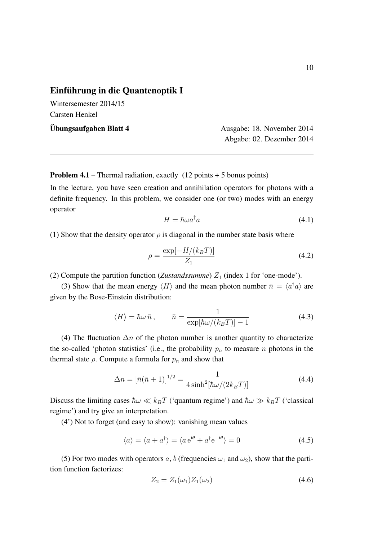## Einführung in die Quantenoptik I

Wintersemester 2014/15 Carsten Henkel

Ubungsaufgaben Blatt 4 ¨ Ausgabe: 18. November 2014 Abgabe: 02. Dezember 2014

**Problem 4.1** – Thermal radiation, exactly  $(12 \text{ points} + 5 \text{ bonus points})$ 

In the lecture, you have seen creation and annihilation operators for photons with a definite frequency. In this problem, we consider one (or two) modes with an energy operator

$$
H = \hbar \omega a^{\dagger} a \tag{4.1}
$$

(1) Show that the density operator  $\rho$  is diagonal in the number state basis where

$$
\rho = \frac{\exp[-H/(k_B T)]}{Z_1} \tag{4.2}
$$

(2) Compute the partition function (*Zustandssumme*)  $Z_1$  (index 1 for 'one-mode').

(3) Show that the mean energy  $\langle H \rangle$  and the mean photon number  $\bar{n} = \langle a^{\dagger} a \rangle$  are given by the Bose-Einstein distribution:

$$
\langle H \rangle = \hbar \omega \,\bar{n} \,, \qquad \bar{n} = \frac{1}{\exp[\hbar \omega/(k_B T)] - 1} \tag{4.3}
$$

(4) The fluctuation  $\Delta n$  of the photon number is another quantity to characterize the so-called 'photon statistics' (i.e., the probability  $p_n$  to measure *n* photons in the thermal state  $\rho$ . Compute a formula for  $p_n$  and show that

$$
\Delta n = [\bar{n}(\bar{n} + 1)]^{1/2} = \frac{1}{4\sinh^2[\hbar\omega/(2k_B T)]}
$$
(4.4)

Discuss the limiting cases  $\hbar\omega \ll k_B T$  ('quantum regime') and  $\hbar\omega \gg k_B T$  ('classical regime') and try give an interpretation.

(4') Not to forget (and easy to show): vanishing mean values

$$
\langle a \rangle = \langle a + a^{\dagger} \rangle = \langle a e^{i\theta} + a^{\dagger} e^{-i\theta} \rangle = 0 \tag{4.5}
$$

(5) For two modes with operators *a*, *b* (frequencies  $\omega_1$  and  $\omega_2$ ), show that the partition function factorizes:

$$
Z_2 = Z_1(\omega_1) Z_1(\omega_2) \tag{4.6}
$$